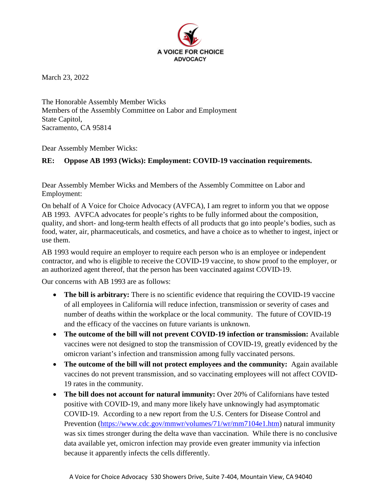

March 23, 2022

The Honorable Assembly Member Wicks Members of the Assembly Committee on Labor and Employment State Capitol, Sacramento, CA 95814

Dear Assembly Member Wicks:

## **RE: Oppose AB 1993 (Wicks): Employment: COVID-19 vaccination requirements.**

Dear Assembly Member Wicks and Members of the Assembly Committee on Labor and Employment:

On behalf of A Voice for Choice Advocacy (AVFCA), I am regret to inform you that we oppose AB 1993. AVFCA advocates for people's rights to be fully informed about the composition, quality, and short- and long-term health effects of all products that go into people's bodies, such as food, water, air, pharmaceuticals, and cosmetics, and have a choice as to whether to ingest, inject or use them.

AB 1993 would require an employer to require each person who is an employee or independent contractor, and who is eligible to receive the COVID-19 vaccine, to show proof to the employer, or an authorized agent thereof, that the person has been vaccinated against COVID-19.

Our concerns with AB 1993 are as follows:

- **The bill is arbitrary:** There is no scientific evidence that requiring the COVID-19 vaccine of all employees in California will reduce infection, transmission or severity of cases and number of deaths within the workplace or the local community. The future of COVID-19 and the efficacy of the vaccines on future variants is unknown.
- **The outcome of the bill will not prevent COVID-19 infection or transmission:** Available vaccines were not designed to stop the transmission of COVID-19, greatly evidenced by the omicron variant's infection and transmission among fully vaccinated persons.
- **The outcome of the bill will not protect employees and the community:** Again available vaccines do not prevent transmission, and so vaccinating employees will not affect COVID-19 rates in the community.
- **The bill does not account for natural immunity:** Over 20% of Californians have tested positive with COVID-19, and many more likely have unknowingly had asymptomatic COVID-19. According to a new report from the U.S. Centers for Disease Control and Prevention [\(https://www.cdc.gov/mmwr/volumes/71/wr/mm7104e1.htm\)](https://www.cdc.gov/mmwr/volumes/71/wr/mm7104e1.htm) natural immunity was six times stronger during the delta wave than vaccination. While there is no conclusive data available yet, omicron infection may provide even greater immunity via infection because it apparently infects the cells differently.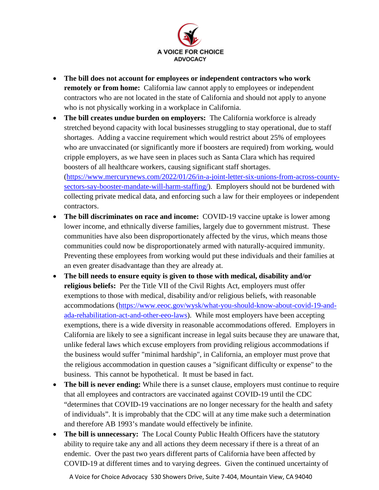

- **The bill does not account for employees or independent contractors who work remotely or from home:** California law cannot apply to employees or independent contractors who are not located in the state of California and should not apply to anyone who is not physically working in a workplace in California.
- **The bill creates undue burden on employers:** The California workforce is already stretched beyond capacity with local businesses struggling to stay operational, due to staff shortages. Adding a vaccine requirement which would restrict about 25% of employees who are unvaccinated (or significantly more if boosters are required) from working, would cripple employers, as we have seen in places such as Santa Clara which has required boosters of all healthcare workers, causing significant staff shortages. [\(https://www.mercurynews.com/2022/01/26/in-a-joint-letter-six-unions-from-across-county](https://www.mercurynews.com/2022/01/26/in-a-joint-letter-six-unions-from-across-county-sectors-say-booster-mandate-will-harm-staffing/)[sectors-say-booster-mandate-will-harm-staffing/\)](https://www.mercurynews.com/2022/01/26/in-a-joint-letter-six-unions-from-across-county-sectors-say-booster-mandate-will-harm-staffing/). Employers should not be burdened with collecting private medical data, and enforcing such a law for their employees or independent
- contractors. • **The bill discriminates on race and income:** COVID-19 vaccine uptake is lower among lower income, and ethnically diverse families, largely due to government mistrust. These communities have also been disproportionately affected by the virus, which means those communities could now be disproportionately armed with naturally-acquired immunity. Preventing these employees from working would put these individuals and their families at an even greater disadvantage than they are already at.
- **The bill needs to ensure equity is given to those with medical, disability and/or religious beliefs:** Per the Title VII of the Civil Rights Act, employers must offer exemptions to those with medical, disability and/or religious beliefs, with reasonable accommodations [\(https://www.eeoc.gov/wysk/what-you-should-know-about-covid-19-and](https://www.eeoc.gov/wysk/what-you-should-know-about-covid-19-and-ada-rehabilitation-act-and-other-eeo-laws)[ada-rehabilitation-act-and-other-eeo-laws\)](https://www.eeoc.gov/wysk/what-you-should-know-about-covid-19-and-ada-rehabilitation-act-and-other-eeo-laws). While most employers have been accepting exemptions, there is a wide diversity in reasonable accommodations offered. Employers in California are likely to see a significant increase in legal suits because they are unaware that, unlike federal laws which excuse employers from providing religious accommodations if the business would suffer "minimal hardship", in California, an employer must prove that the religious accommodation in question causes a "significant difficulty or expense" to the business. This cannot be hypothetical. It must be based in fact.
- **The bill is never ending:** While there is a sunset clause, employers must continue to require that all employees and contractors are vaccinated against COVID-19 until the CDC "determines that COVID-19 vaccinations are no longer necessary for the health and safety of individuals". It is improbably that the CDC will at any time make such a determination and therefore AB 1993's mandate would effectively be infinite.
- **The bill is unnecessary:** The Local County Public Health Officers have the statutory ability to require take any and all actions they deem necessary if there is a threat of an endemic. Over the past two years different parts of California have been affected by COVID-19 at different times and to varying degrees. Given the continued uncertainty of

A Voice for Choice Advocacy 530 Showers Drive, Suite 7-404, Mountain View, CA 94040